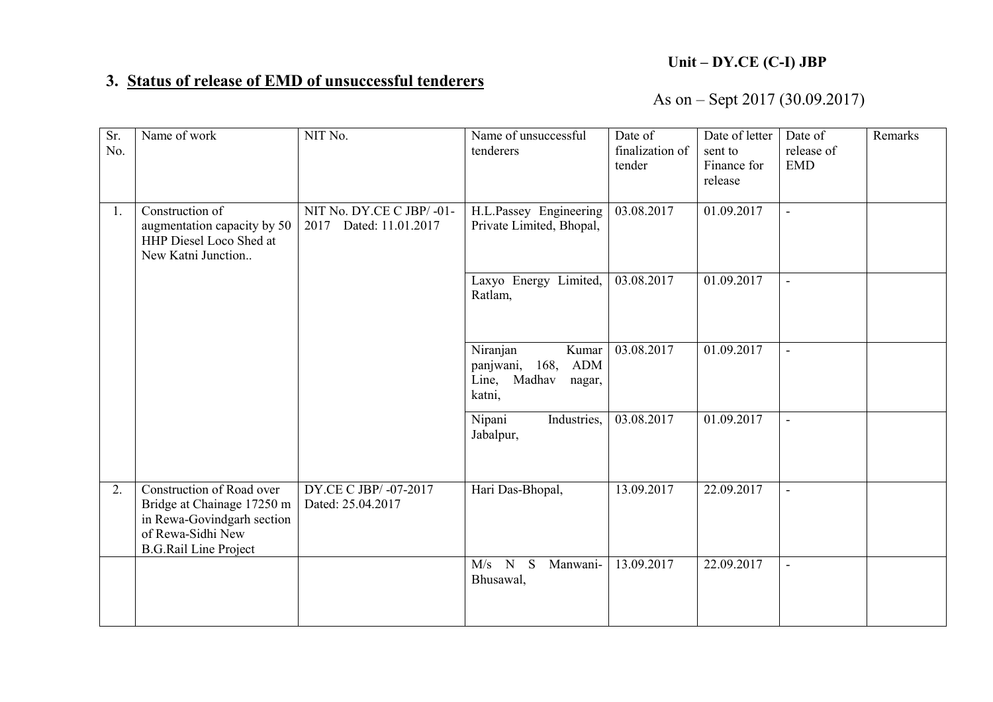## Unit – DY.CE (C-I) JBP

## 3. Status of release of EMD of unsuccessful tenderers

## As on – Sept 2017 (30.09.2017)

| Sr.<br>No. | Name of work                                                                                                                               | NIT No.                                            | Name of unsuccessful<br>tenderers                                              | Date of<br>finalization of<br>tender | Date of letter<br>sent to<br>Finance for<br>release | Date of<br>release of<br><b>EMD</b> | Remarks |
|------------|--------------------------------------------------------------------------------------------------------------------------------------------|----------------------------------------------------|--------------------------------------------------------------------------------|--------------------------------------|-----------------------------------------------------|-------------------------------------|---------|
| 1.         | Construction of<br>augmentation capacity by 50<br>HHP Diesel Loco Shed at<br>New Katni Junction                                            | NIT No. DY.CE C JBP/-01-<br>2017 Dated: 11.01.2017 | H.L.Passey Engineering<br>Private Limited, Bhopal,                             | 03.08.2017                           | 01.09.2017                                          | $\blacksquare$                      |         |
|            |                                                                                                                                            |                                                    | Laxyo Energy Limited,<br>Ratlam,                                               | 03.08.2017                           | 01.09.2017                                          |                                     |         |
|            |                                                                                                                                            |                                                    | Niranjan<br>Kumar<br>168, ADM<br>panjwani,<br>Line, Madhav<br>nagar,<br>katni, | 03.08.2017                           | 01.09.2017                                          |                                     |         |
|            |                                                                                                                                            |                                                    | Nipani<br>Industries,<br>Jabalpur,                                             | 03.08.2017                           | 01.09.2017                                          |                                     |         |
| 2.         | Construction of Road over<br>Bridge at Chainage 17250 m<br>in Rewa-Govindgarh section<br>of Rewa-Sidhi New<br><b>B.G.Rail Line Project</b> | DY.CE C JBP/-07-2017<br>Dated: 25.04.2017          | Hari Das-Bhopal,                                                               | 13.09.2017                           | 22.09.2017                                          | $\blacksquare$                      |         |
|            |                                                                                                                                            |                                                    | $M/s$ N<br>S<br>Manwani-<br>Bhusawal,                                          | 13.09.2017                           | 22.09.2017                                          | $\blacksquare$                      |         |